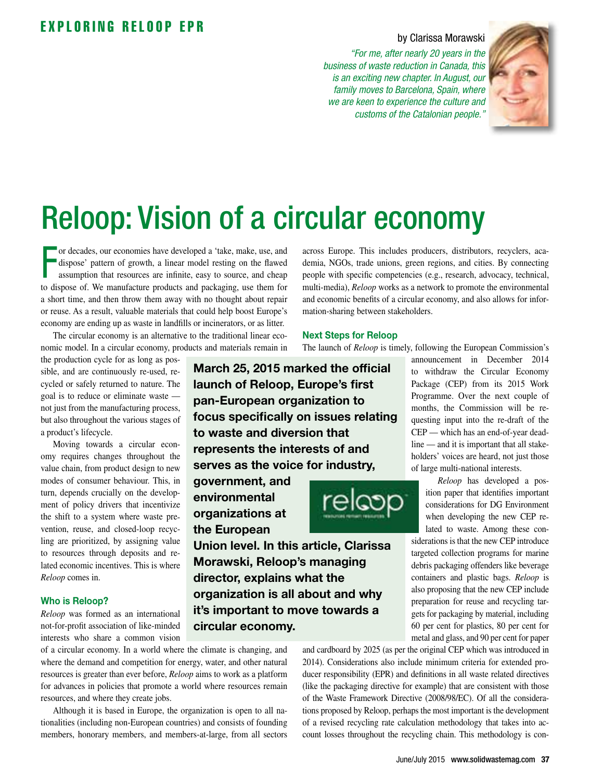## EXPLORING RELOOP EPR

### by Clarissa Morawski

*"For me, after nearly 20 years in the business of waste reduction in Canada, this is an exciting new chapter. In August, our family moves to Barcelona, Spain, where we are keen to experience the culture and customs of the Catalonian people."*



# Reloop: Vision of a circular economy

or decades, our economies have developed a 'take, make, use, and dispose' pattern of growth, a linear model resting on the flawed assumption that resources are infinite, easy to source, and cheap to dispose of. We manufact or decades, our economies have developed a 'take, make, use, and dispose' pattern of growth, a linear model resting on the flawed assumption that resources are infinite, easy to source, and cheap a short time, and then throw them away with no thought about repair or reuse. As a result, valuable materials that could help boost Europe's economy are ending up as waste in landfills or incinerators, or as litter.

The circular economy is an alternative to the traditional linear economic model. In a circular economy, products and materials remain in

the production cycle for as long as possible, and are continuously re-used, recycled or safely returned to nature. The goal is to reduce or eliminate waste not just from the manufacturing process, but also throughout the various stages of a product's lifecycle.

Moving towards a circular economy requires changes throughout the value chain, from product design to new modes of consumer behaviour. This, in turn, depends crucially on the development of policy drivers that incentivize the shift to a system where waste prevention, reuse, and closed-loop recycling are prioritized, by assigning value to resources through deposits and related economic incentives. This is where *Reloop* comes in.

#### Who is Reloop?

*Reloop* was formed as an international not-for-profit association of like-minded interests who share a common vision

of a circular economy. In a world where the climate is changing, and where the demand and competition for energy, water, and other natural resources is greater than ever before, *Reloop* aims to work as a platform for advances in policies that promote a world where resources remain resources, and where they create jobs.

Although it is based in Europe, the organization is open to all nationalities (including non-European countries) and consists of founding members, honorary members, and members-at-large, from all sectors across Europe. This includes producers, distributors, recyclers, academia, NGOs, trade unions, green regions, and cities. By connecting people with specific competencies (e.g., research, advocacy, technical, multi-media), *Reloop* works as a network to promote the environmental and economic benefits of a circular economy, and also allows for information-sharing between stakeholders.

#### Next Steps for Reloop

The launch of *Reloop* is timely, following the European Commission's

March 25, 2015 marked the official launch of Reloop, Europe's first pan-European organization to focus specifically on issues relating to waste and diversion that represents the interests of and serves as the voice for industry,

government, and environmental organizations at the European



Union level. In this article, Clarissa Morawski, Reloop's managing director, explains what the organization is all about and why it's important to move towards a circular economy.

announcement in December 2014 to withdraw the Circular Economy Package (CEP) from its 2015 Work Programme. Over the next couple of months, the Commission will be requesting input into the re-draft of the CEP — which has an end-of-year deadline — and it is important that all stakeholders' voices are heard, not just those of large multi-national interests.

*Reloop* has developed a position paper that identifies important considerations for DG Environment when developing the new CEP related to waste. Among these con-

siderations is that the new CEP introduce targeted collection programs for marine debris packaging offenders like beverage containers and plastic bags. *Reloop* is also proposing that the new CEP include preparation for reuse and recycling targets for packaging by material, including 60 per cent for plastics, 80 per cent for metal and glass, and 90 per cent for paper

and cardboard by 2025 (as per the original CEP which was introduced in 2014). Considerations also include minimum criteria for extended producer responsibility (EPR) and definitions in all waste related directives (like the packaging directive for example) that are consistent with those of the Waste Framework Directive (2008/98/EC). Of all the considerations proposed by Reloop, perhaps the most important is the development of a revised recycling rate calculation methodology that takes into account losses throughout the recycling chain. This methodology is con-